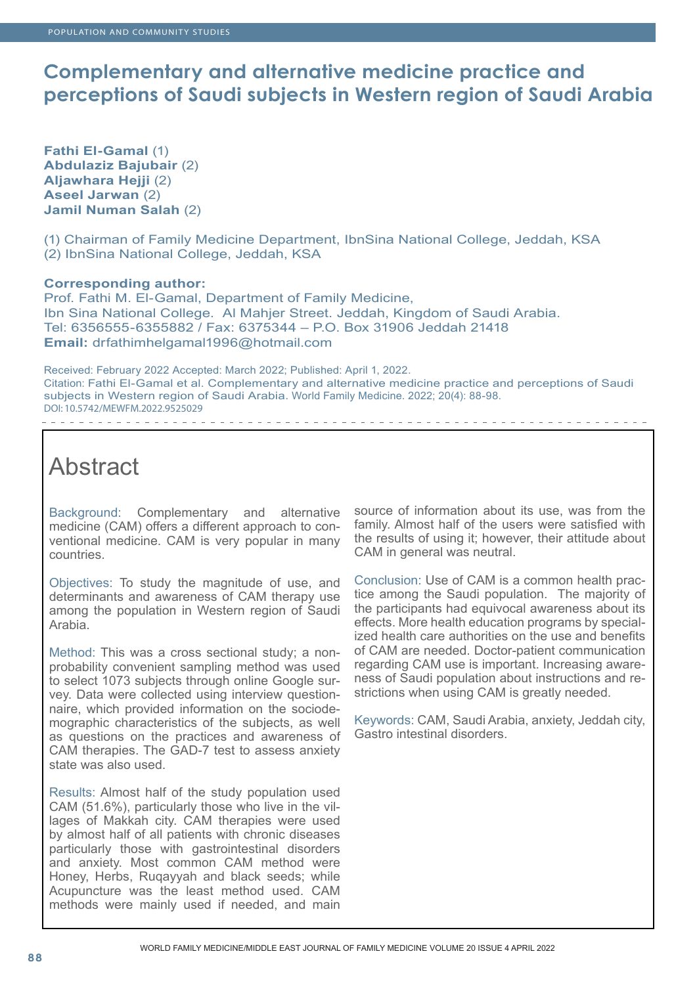## **Complementary and alternative medicine practice and perceptions of Saudi subjects in Western region of Saudi Arabia**

**Fathi El-Gamal** (1) **Abdulaziz Bajubair** (2) **Aljawhara Hejji** (2) **Aseel Jarwan** (2) **Jamil Numan Salah** (2)

(1) Chairman of Family Medicine Department, IbnSina National College, Jeddah, KSA (2) IbnSina National College, Jeddah, KSA

## **Corresponding author:**

. . . . . . . . . . . . . .

Prof. Fathi M. El-Gamal, Department of Family Medicine, Ibn Sina National College. Al Mahjer Street. Jeddah, Kingdom of Saudi Arabia. Tel: 6356555-6355882 / Fax: 6375344 – P.O. Box 31906 Jeddah 21418 **Email:** drfathimhelgamal1996@hotmail.com

Received: February 2022 Accepted: March 2022; Published: April 1, 2022. Citation: Fathi El-Gamal et al. Complementary and alternative medicine practice and perceptions of Saudi subjects in Western region of Saudi Arabia. World Family Medicine. 2022; 20(4): 88-98. DOI: 10.5742/MEWFM.2022.9525029

# Abstract

Background: Complementary and alternative medicine (CAM) offers a different approach to conventional medicine. CAM is very popular in many countries.

Objectives: To study the magnitude of use, and determinants and awareness of CAM therapy use among the population in Western region of Saudi Arabia.

Method: This was a cross sectional study; a nonprobability convenient sampling method was used to select 1073 subjects through online Google survey. Data were collected using interview questionnaire, which provided information on the sociodemographic characteristics of the subjects, as well as questions on the practices and awareness of CAM therapies. The GAD-7 test to assess anxiety state was also used.

Results: Almost half of the study population used CAM (51.6%), particularly those who live in the villages of Makkah city. CAM therapies were used by almost half of all patients with chronic diseases particularly those with gastrointestinal disorders and anxiety. Most common CAM method were Honey, Herbs, Ruqayyah and black seeds; while Acupuncture was the least method used. CAM methods were mainly used if needed, and main

source of information about its use, was from the family. Almost half of the users were satisfied with the results of using it; however, their attitude about CAM in general was neutral.

Conclusion: Use of CAM is a common health practice among the Saudi population. The majority of the participants had equivocal awareness about its effects. More health education programs by specialized health care authorities on the use and benefits of CAM are needed. Doctor-patient communication regarding CAM use is important. Increasing awareness of Saudi population about instructions and restrictions when using CAM is greatly needed.

Keywords: CAM, Saudi Arabia, anxiety, Jeddah city, Gastro intestinal disorders.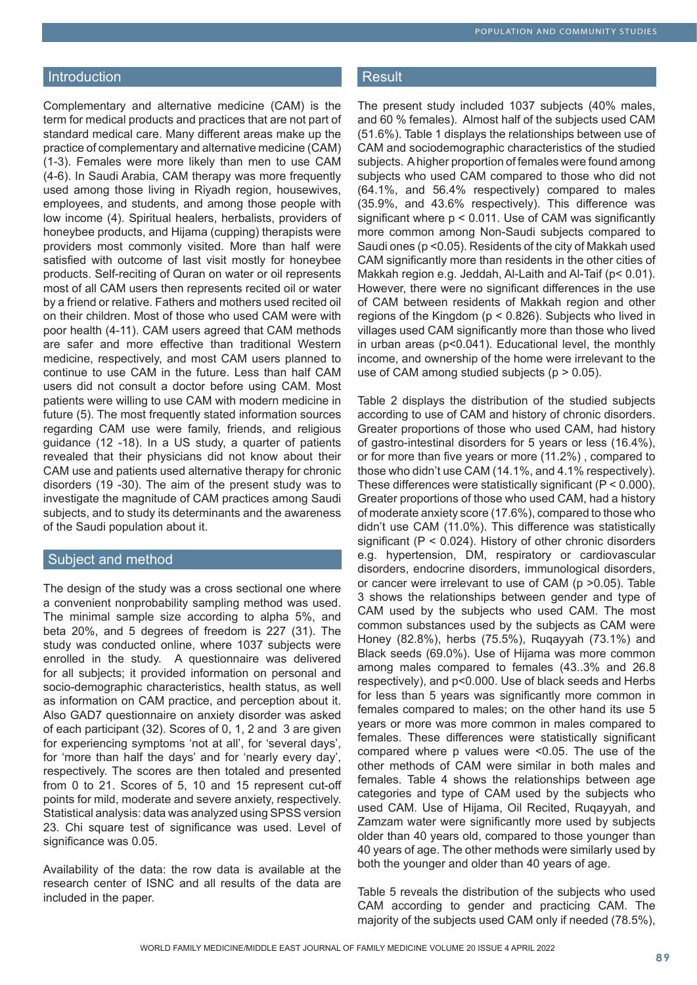### POPULATION AND COMMUNITY STUDIES

## Introduction

Complementary and alternative medicine (CAM) is the term for medical products and practices that are not part of standard medical care. Many different areas make up the practice of complementary and alternative medicine (CAM) (1-3). Females were more likely than men to use CAM (4-6). In Saudi Arabia, CAM therapy was more frequently used among those living in Riyadh region, housewives, employees, and students, and among those people with low income (4). Spiritual healers, herbalists, providers of honeybee products, and Hijama (cupping) therapists were providers most commonly visited. More than half were satisfied with outcome of last visit mostly for honeybee products. Self-reciting of Quran on water or oil represents most of all CAM users then represents recited oil or water by a friend or relative. Fathers and mothers used recited oil on their children. Most of those who used CAM were with poor health (4-11). CAM users agreed that CAM methods are safer and more effective than traditional Western medicine, respectively, and most CAM users planned to continue to use CAM in the future. Less than half CAM users did not consult a doctor before using CAM. Most patients were willing to use CAM with modern medicine in future (5). The most frequently stated information sources regarding CAM use were family, friends, and religious guidance (12 -18). In a US study, a quarter of patients revealed that their physicians did not know about their CAM use and patients used alternative therapy for chronic disorders (19 -30). The aim of the present study was to investigate the magnitude of CAM practices among Saudi subjects, and to study its determinants and the awareness of the Saudi population about it.

## Subject and method

The design of the study was a cross sectional one where a convenient nonprobability sampling method was used. The minimal sample size according to alpha 5%, and beta 20%, and 5 degrees of freedom is 227 (31). The study was conducted online, where 1037 subjects were enrolled in the study. A questionnaire was delivered for all subjects; it provided information on personal and socio-demographic characteristics, health status, as well as information on CAM practice, and perception about it. Also GAD7 questionnaire on anxiety disorder was asked of each participant (32). Scores of 0, 1, 2 and 3 are given for experiencing symptoms 'not at all', for 'several days', for 'more than half the days' and for 'nearly every day', respectively. The scores are then totaled and presented from 0 to 21. Scores of 5, 10 and 15 represent cut-off points for mild, moderate and severe anxiety, respectively. Statistical analysis: data was analyzed using SPSS version 23. Chi square test of significance was used. Level of significance was 0.05.

Availability of the data: the row data is available at the research center of ISNC and all results of the data are included in the paper.

### **Result**

The present study included 1037 subjects (40% males, and 60 % females). Almost half of the subjects used CAM (51.6%). Table 1 displays the relationships between use of CAM and sociodemographic characteristics of the studied subjects. A higher proportion of females were found among subjects who used CAM compared to those who did not (64.1%, and 56.4% respectively) compared to males (35.9%, and 43.6% respectively). This difference was significant where p < 0.011. Use of CAM was significantly more common among Non-Saudi subjects compared to Saudi ones (p <0.05). Residents of the city of Makkah used CAM significantly more than residents in the other cities of Makkah region e.g. Jeddah, Al-Laith and Al-Taif (p< 0.01). However, there were no significant differences in the use of CAM between residents of Makkah region and other regions of the Kingdom (p < 0.826). Subjects who lived in villages used CAM significantly more than those who lived in urban areas (p<0.041). Educational level, the monthly income, and ownership of the home were irrelevant to the use of CAM among studied subjects ( $p > 0.05$ ).

Table 2 displays the distribution of the studied subjects according to use of CAM and history of chronic disorders. Greater proportions of those who used CAM, had history of gastro-intestinal disorders for 5 years or less (16.4%), or for more than five years or more (11.2%) , compared to those who didn't use CAM (14.1%, and 4.1% respectively). These differences were statistically significant  $(P < 0.000)$ . Greater proportions of those who used CAM, had a history of moderate anxiety score (17.6%), compared to those who didn't use CAM (11.0%). This difference was statistically significant (P < 0.024). History of other chronic disorders e.g. hypertension, DM, respiratory or cardiovascular disorders, endocrine disorders, immunological disorders, or cancer were irrelevant to use of CAM (p >0.05). Table 3 shows the relationships between gender and type of CAM used by the subjects who used CAM. The most common substances used by the subjects as CAM were Honey (82.8%), herbs (75.5%), Ruqayyah (73.1%) and Black seeds (69.0%). Use of Hijama was more common among males compared to females (43..3% and 26.8 respectively), and p<0.000. Use of black seeds and Herbs for less than 5 years was significantly more common in females compared to males; on the other hand its use 5 years or more was more common in males compared to females. These differences were statistically significant compared where p values were <0.05. The use of the other methods of CAM were similar in both males and females. Table 4 shows the relationships between age categories and type of CAM used by the subjects who used CAM. Use of Hijama, Oil Recited, Ruqayyah, and Zamzam water were significantly more used by subjects older than 40 years old, compared to those younger than 40 years of age. The other methods were similarly used by both the younger and older than 40 years of age.

Table 5 reveals the distribution of the subjects who used CAM according to gender and practicing CAM. The majority of the subjects used CAM only if needed (78.5%),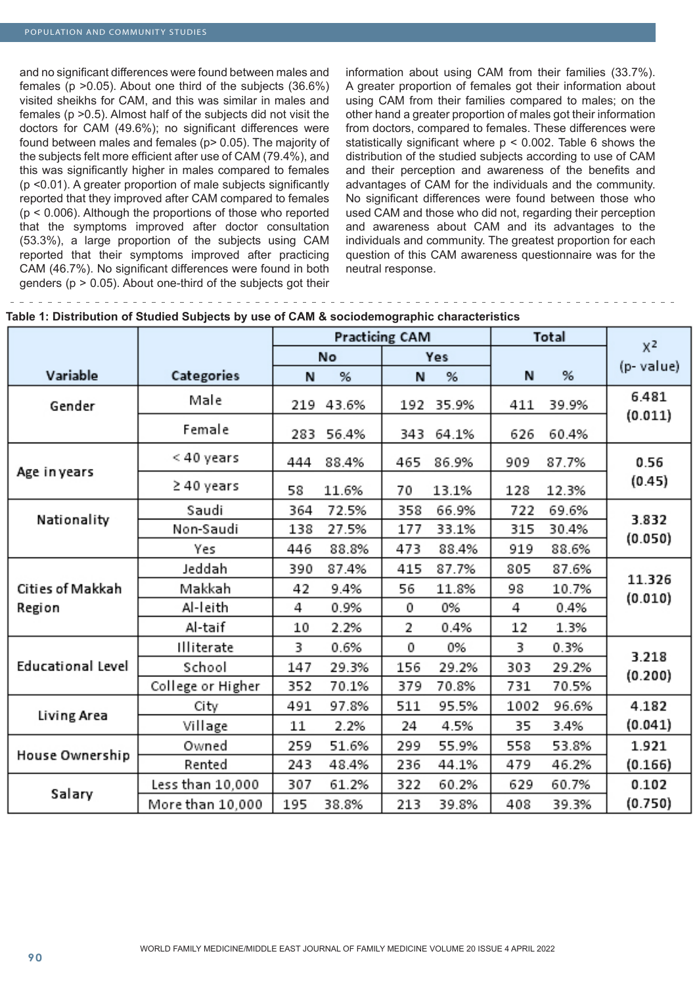and no significant differences were found between males and females (p >0.05). About one third of the subjects (36.6%) visited sheikhs for CAM, and this was similar in males and females (p >0.5). Almost half of the subjects did not visit the doctors for CAM (49.6%); no significant differences were found between males and females (p> 0.05). The majority of the subjects felt more efficient after use of CAM (79.4%), and this was significantly higher in males compared to females (p <0.01). A greater proportion of male subjects significantly reported that they improved after CAM compared to females (p < 0.006). Although the proportions of those who reported that the symptoms improved after doctor consultation (53.3%), a large proportion of the subjects using CAM reported that their symptoms improved after practicing CAM (46.7%). No significant differences were found in both genders ( $p > 0.05$ ). About one-third of the subjects got their

Less than 10,000

More than 10,000

information about using CAM from their families (33.7%). A greater proportion of females got their information about using CAM from their families compared to males; on the other hand a greater proportion of males got their information from doctors, compared to females. These differences were statistically significant where  $p < 0.002$ . Table 6 shows the distribution of the studied subjects according to use of CAM and their perception and awareness of the benefits and advantages of CAM for the individuals and the community. No significant differences were found between those who used CAM and those who did not, regarding their perception and awareness about CAM and its advantages to the individuals and community. The greatest proportion for each question of this CAM awareness questionnaire was for the neutral response.

|                          |                   |     | Practicing CAM |     |       | Total |       | $X^2$     |
|--------------------------|-------------------|-----|----------------|-----|-------|-------|-------|-----------|
|                          |                   |     | No             |     | Yes   |       |       |           |
| Variable                 | Categories        | N   | %              | N   | %     | N     | %     | (p-value) |
| Gender                   | Male              | 219 | 43.6%          | 192 | 35.9% | 411   | 39.9% | 6.481     |
|                          | Female            | 283 | 56.4%          | 343 | 64.1% | 626   | 60.4% | (0.011)   |
|                          | < 40 years        | 444 | 88.4%          | 465 | 86.9% | 909   | 87.7% | 0.56      |
| Age in years             | ≥40 years         | 58  | 11.6%          | 70  | 13.1% | 128   | 12.3% | (0.45)    |
|                          | Saudi             | 364 | 72.5%          | 358 | 66.9% | 722   | 69.6% | 3.832     |
| Nationality              | Non-Saudi         | 138 | 27.5%          | 177 | 33.1% | 315   | 30.4% |           |
|                          | Yes               | 446 | 88.8%          | 473 | 88.4% | 919   | 88.6% | (0.050)   |
|                          | Jeddah            | 390 | 87.4%          | 415 | 87.7% | 805   | 87.6% |           |
| Cities of Makkah         | Makkah            | 42  | 9.4%           | 56  | 11.8% | 98    | 10.7% | 11.326    |
| Region                   | Al-leith          | 4   | 0.9%           | 0   | 0%    | 4     | 0.4%  | (0.010)   |
|                          | Al-taif           | 10  | 2.2%           | 2   | 0.4%  | 12    | 1.3%  |           |
|                          | Illiterate        | 3   | 0.6%           | 0   | 0%    | 3     | 0.3%  |           |
| <b>Educational Level</b> | School            | 147 | 29.3%          | 156 | 29.2% | 303   | 29.2% | 3.218     |
|                          | College or Higher | 352 | 70.1%          | 379 | 70.8% | 731   | 70.5% | (0.200)   |
|                          | City              | 491 | 97.8%          | 511 | 95.5% | 1002  | 96.6% | 4.182     |
| Living Area              | Village           | 11  | 2.2%           | 24  | 4.5%  | 35    | 3.4%  | (0.041)   |
|                          | Owned             | 259 | 51.6%          | 299 | 55.9% | 558   | 53.8% | 1.921     |
| House Ownership          | Rented            | 243 | 48.4%          | 236 | 44.1% | 479   | 46.2% | (0.166)   |

61.2%

38.8%

322

213

60.2%

39.8%

629

408

60.7%

39.3%

0.102

 $(0.750)$ 

307

195

Salary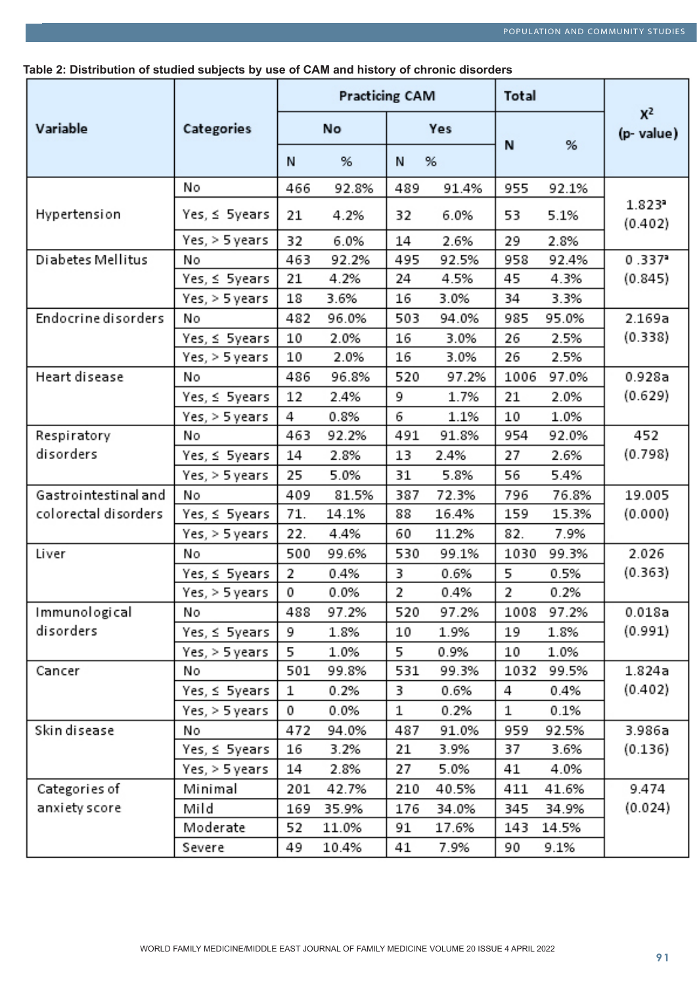**Table 2: Distribution of studied subjects by use of CAM and history of chronic disorders**

|                      |                | <b>Practicing CAM</b> |       |     |       | Total |       |                                 |
|----------------------|----------------|-----------------------|-------|-----|-------|-------|-------|---------------------------------|
| Variable             | Categories     |                       | No    | Yes |       |       |       | $X^2$<br>(p-value)              |
|                      |                | N                     | %     | Ν   | %     | N     | %     |                                 |
|                      | No             | 466                   | 92.8% | 489 | 91.4% | 955   | 92.1% |                                 |
| Hypertension         | Yes, ≤ 5years  | 21                    | 4.2%  | 32  | 6.0%  | 53    | 5.1%  | $1.823$ <sup>2</sup><br>(0.402) |
|                      | Yes, > 5 years | 32                    | 6.0%  | 14  | 2.6%  | 29    | 2.8%  |                                 |
| Diabetes Mellitus    | Nο             | 463                   | 92.2% | 495 | 92.5% | 958   | 92.4% | 0.337                           |
|                      | Yes, ≤ 5years  | 21                    | 4.2%  | 24  | 4.5%  | 45    | 4.3%  | (0.845)                         |
|                      | Yes, > 5 years | 18                    | 3.6%  | 16  | 3.0%  | 34    | 3.3%  |                                 |
| Endocrine disorders  | No             | 482                   | 96.0% | 503 | 94.0% | 985   | 95.0% | 2.169a                          |
|                      | Yes, ≤ 5years  | 10                    | 2.0%  | 16  | 3.0%  | 26    | 2.5%  | (0.338)                         |
|                      | Yes, > 5 years | 10                    | 2.0%  | 16  | 3.0%  | 26    | 2.5%  |                                 |
| Heart disease        | Νo             | 486                   | 96.8% | 520 | 97.2% | 1006  | 97.0% | 0.928a                          |
|                      | Yes, ≤ 5years  | 12                    | 2.4%  | 9   | 1.7%  | 21    | 2.0%  | (0.629)                         |
|                      | Yes, > 5 years | 4                     | 0.8%  | 6   | 1.1%  | 10    | 1.0%  |                                 |
| Respiratory          | Nο             | 463                   | 92.2% | 491 | 91.8% | 954   | 92.0% | 452                             |
| disorders            | Yes, ≤ 5years  | 14                    | 2.8%  | 13  | 2.4%  | 27    | 2.6%  | (0.798)                         |
|                      | Yes, > 5 years | 25                    | 5.0%  | 31  | 5.8%  | 56    | 5.4%  |                                 |
| Gastrointestinal and | Nο             | 409                   | 81.5% | 387 | 72.3% | 796   | 76.8% | 19.005                          |
| colorectal disorders | Yes, ≤ 5years  | 71.                   | 14.1% | 88  | 16.4% | 159   | 15.3% | (0.000)                         |
|                      | Yes, > 5 years | 22.                   | 4.4%  | 60  | 11.2% | 82.   | 7.9%  |                                 |
| Liver                | No             | 500                   | 99.6% | 530 | 99.1% | 1030  | 99.3% | 2.026                           |
|                      | Yes, ≤ 5years  | 2                     | 0.4%  | 3   | 0.6%  | 5     | 0.5%  | (0.363)                         |
|                      | Yes, > 5 years | 0                     | 0.0%  | 2   | 0.4%  | 2     | 0.2%  |                                 |
| Immunological        | Νo             | 488                   | 97.2% | 520 | 97.2% | 1008  | 97.2% | 0.018a                          |
| disorders            | Yes, ≤ 5years  | 9                     | 1.8%  | 10  | 1.9%  | 19    | 1.8%  | (0.991)                         |
|                      | Yes, > 5 years | 5                     | 1.0%  | 5.  | 0.9%  | 10    | 1.0%  |                                 |
| Cancer               | No             | 501                   | 99.8% | 531 | 99.3% | 1032  | 99.5% | 1.824a                          |
|                      | Yes, ≤ 5years  | 1                     | 0.2%  | 3   | 0.6%  | 4     | 0.4%  | (0.402)                         |
|                      | Yes, > 5 years | 0                     | 0.0%  | 1   | 0.2%  | 1     | 0.1%  |                                 |
| Skin disease         | No             | 472                   | 94.0% | 487 | 91.0% | 959   | 92.5% | 3.986a                          |
|                      | Yes, ≤ 5years  | 16                    | 3.2%  | 21  | 3.9%  | 37    | 3.6%  | (0.136)                         |
|                      | Yes, > 5 years | 14                    | 2.8%  | 27  | 5.0%  | 41    | 4.0%  |                                 |
| Categories of        | Minimal        | 201                   | 42.7% | 210 | 40.5% | 411   | 41.6% | 9.474                           |
| anxiety score        | Mild           | 169                   | 35.9% | 176 | 34.0% | 345   | 34.9% | (0.024)                         |
|                      | Moderate       | 52                    | 11.0% | 91  | 17.6% | 143   | 14.5% |                                 |
|                      | Severe         | 49                    | 10.4% | 41  | 7.9%  | 90    | 9.1%  |                                 |
|                      |                |                       |       |     |       |       |       |                                 |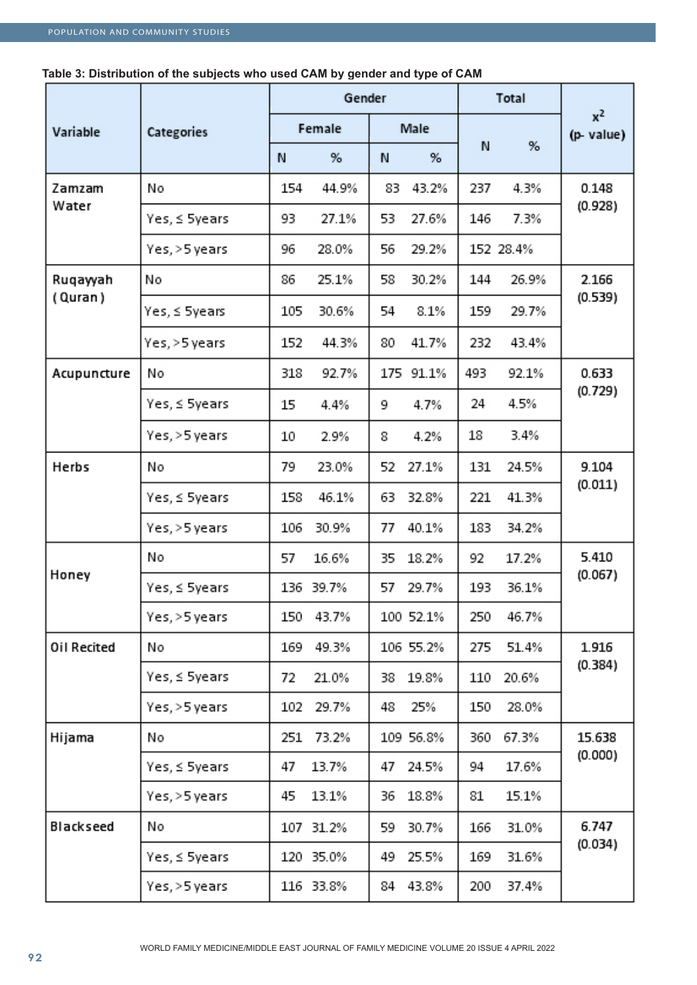|             |               | Gender |           |     |           | Total |           |                    |
|-------------|---------------|--------|-----------|-----|-----------|-------|-----------|--------------------|
| Variable    | Categories    |        | Female    |     | Male      |       | %         | $x^2$<br>(p-value) |
|             |               | N      | %         | N   | %         | N     |           |                    |
| Zamzam      | No            | 154    | 44.9%     | 83  | 43.2%     | 237   | 4.3%      | 0.148              |
| Water       | Yes, ≤ 5years | 93     | 27.1%     | 53  | 27.6%     | 146   | 7.3%      | (0.928)            |
|             | Yes, >5 years | 96     | 28.0%     | 56  | 29.2%     |       | 152 28.4% |                    |
| Ruqayyah    | No            | 86     | 25.1%     | 58  | 30.2%     | 144   | 26.9%     | 2.166              |
| (Quran)     | Yes, ≤ 5years | 105    | 30.6%     | 54  | 8.1%      | 159   | 29.7%     | (0.539)            |
|             | Yes, >5 years | 152    | 44.3%     | 80  | 41.7%     | 232   | 43.4%     |                    |
| Acupuncture | No            | 318    | 92.7%     | 175 | 91.1%     | 493   | 92.1%     | 0.633              |
|             | Yes, ≤ 5years | 15     | 4.4%      | 9   | 4.7%      | 24    | 4.5%      | (0.729)            |
|             | Yes, >5 years | 10     | 2.9%      | 8   | 4.2%      | 18    | 3.4%      |                    |
| Herbs       | No            | 79     | 23.0%     | 52  | 27.1%     | 131   | 24.5%     | 9.104              |
|             | Yes, ≤ 5years | 158    | 46.1%     | 63  | 32.8%     | 221   | 41.3%     | (0.011)            |
|             | Yes, >5 years | 106    | 30.9%     | 77  | 40.1%     | 183   | 34.2%     |                    |
|             | No            | 57     | 16.6%     | 35  | 18.2%     | 92    | 17.2%     | 5.410              |
| Honey       | Yes, ≤ 5years |        | 136 39.7% | 57  | 29.7%     | 193   | 36.1%     | (0.067)            |
|             | Yes, >5 years | 150    | 43.7%     |     | 100 52.1% | 250   | 46.7%     |                    |
| Oil Recited | No            | 169    | 49.3%     |     | 106 55.2% | 275   | 51.4%     | 1.916              |
|             | Yes, ≤ 5years | 72     | 21.0%     | 38  | 19.8%     | 110   | 20.6%     | (0.384)            |
|             | Yes, >5 years | 102    | 29.7%     | 48  | 25%       | 150   | 28.0%     |                    |
| Hijama      | No            | 251    | 73.2%     |     | 109 56.8% | 360   | 67.3%     | 15.638             |
|             | Yes, ≤ 5years | 47     | 13.7%     | 47  | 24.5%     | 94    | 17.6%     | (0.000)            |
|             | Yes, >5 years | 45     | 13.1%     | 36  | 18.8%     | 81    | 15.1%     |                    |
| Blackseed   | No            |        | 107 31.2% | 59  | 30.7%     | 166   | 31.0%     | 6.747              |
|             | Yes, ≤ 5years |        | 120 35.0% | 49  | 25.5%     | 169   | 31.6%     | (0.034)            |
|             | Yes, >5 years |        | 116 33.8% |     | 84 43.8%  | 200   | 37.4%     |                    |

## **Table 3: Distribution of the subjects who used CAM by gender and type of CAM**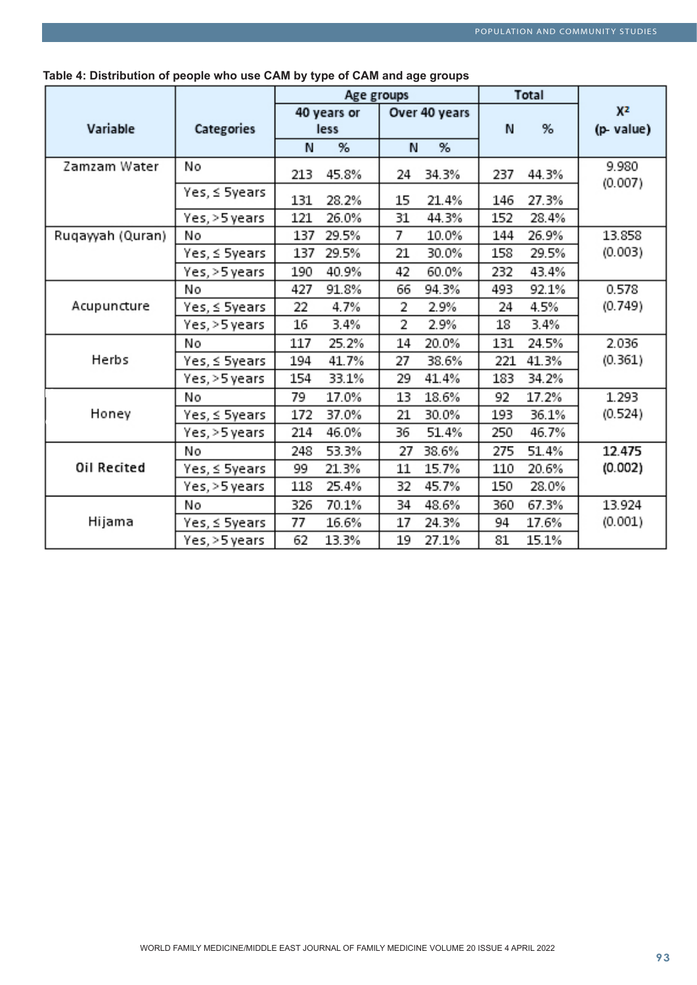|                  |                | Age groups |                     |    | Total         |     |       |                             |
|------------------|----------------|------------|---------------------|----|---------------|-----|-------|-----------------------------|
| Variable         | Categories     |            | 40 years or<br>less |    | Over 40 years | N   | %     | X <sup>2</sup><br>(p-value) |
|                  |                | N          | %                   | N  | %             |     |       |                             |
| Zamzam Water     | No             | 213        | 45.8%               | 24 | 34.3%         | 237 | 44.3% | 9.980<br>(0.007)            |
|                  | Yes, ≤ 5years  | 131        | 28.2%               | 15 | 21.4%         | 146 | 27.3% |                             |
|                  | Yes, > 5 years | 121        | 26.0%               | 31 | 44.3%         | 152 | 28.4% |                             |
| Ruqayyah (Quran) | No             | 137        | 29.5%               | 7  | 10.0%         | 144 | 26.9% | 13.858                      |
|                  | Yes, ≤ 5years  | 137        | 29.5%               | 21 | 30.0%         | 158 | 29.5% | (0.003)                     |
|                  | Yes, >5 years  | 190        | 40.9%               | 42 | 60.0%         | 232 | 43.4% |                             |
|                  | No             | 427        | 91.8%               | 66 | 94.3%         | 493 | 92.1% | 0.578                       |
| Acupuncture      | Yes, ≤ 5years  | 22         | 4.7%                | 2  | 2.9%          | 24  | 4.5%  | (0.749)                     |
|                  | Yes, > 5 years | 16         | 3.4%                | 2  | 2.9%          | 18  | 3.4%  |                             |
|                  | No             | 117        | 25.2%               | 14 | 20.0%         | 131 | 24.5% | 2.036                       |
| Herbs            | Yes, ≤ 5years  | 194        | 41.7%               | 27 | 38.6%         | 221 | 41.3% | (0.361)                     |
|                  | Yes, >5 years  | 154        | 33.1%               | 29 | 41.4%         | 183 | 34.2% |                             |
|                  | No             | 79         | 17.0%               | 13 | 18.6%         | 92  | 17.2% | 1.293                       |
| Honey            | Yes, ≤ 5years  | 172        | 37.0%               | 21 | 30.0%         | 193 | 36.1% | (0.524)                     |
|                  | Yes, > 5 years | 214        | 46.0%               | 36 | 51.4%         | 250 | 46.7% |                             |
|                  | No             | 248        | 53.3%               | 27 | 38.6%         | 275 | 51.4% | 12.475                      |
| Oil Recited      | Yes, ≤ 5years  | 99         | 21.3%               | 11 | 15.7%         | 110 | 20.6% | (0.002)                     |
|                  | Yes, > 5 years | 118        | 25.4%               | 32 | 45.7%         | 150 | 28.0% |                             |
|                  | No             | 326        | 70.1%               | 34 | 48.6%         | 360 | 67.3% | 13.924                      |
| Hijama           | Yes, ≤ 5years  | 77         | 16.6%               | 17 | 24.3%         | 94  | 17.6% | (0.001)                     |
|                  | Yes, > 5 years | 62         | 13.3%               | 19 | 27.1%         | 81  | 15.1% |                             |

**Table 4: Distribution of people who use CAM by type of CAM and age groups**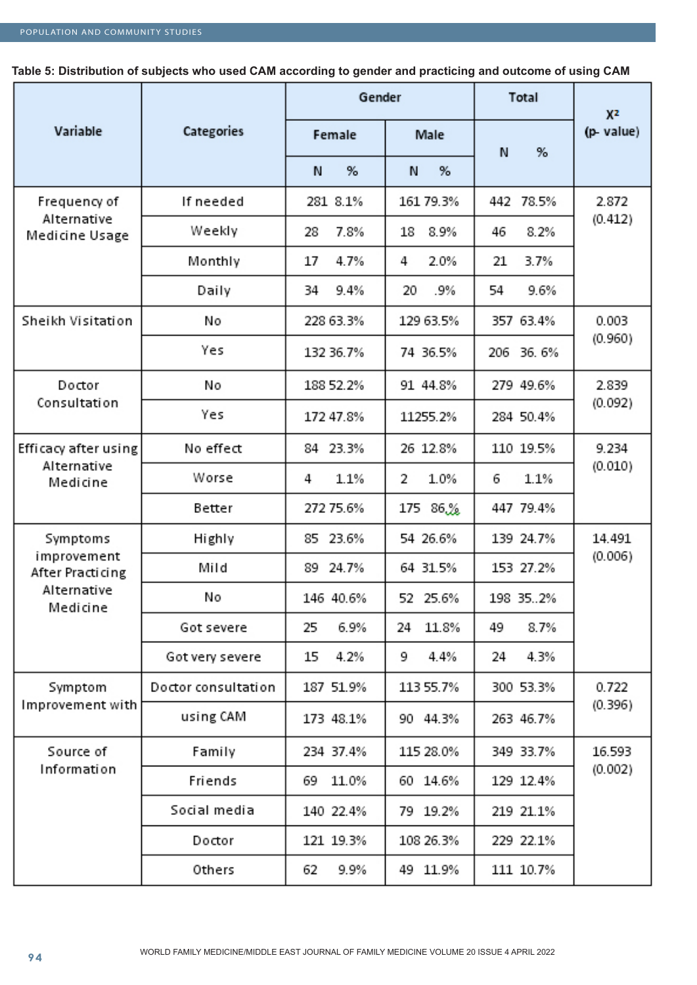**Table 5: Distribution of subjects who used CAM according to gender and practicing and outcome of using CAM**

|                                                 |                     | Gender      |             | Total        | X <sup>2</sup> |
|-------------------------------------------------|---------------------|-------------|-------------|--------------|----------------|
| Variable                                        | Categories          | Female      | Male        | N<br>%       | (p-value)      |
|                                                 |                     | N<br>%      | %<br>N      |              |                |
| Frequency of                                    | If needed           | 281 8.1%    | 161 79.3%   | 442<br>78.5% | 2.872          |
| Alternative<br>Medicine Usage                   | Weekly              | 7.8%<br>28  | 8.9%<br>18  | 8.2%<br>46   | (0.412)        |
|                                                 | Monthly             | 17<br>4.7%  | 2.0%<br>4   | 3.7%<br>21   |                |
|                                                 | Daily               | 34<br>9.4%  | 20<br>.9%   | 54<br>9.6%   |                |
| Sheikh Visitation                               | No                  | 228 63.3%   | 129 63.5%   | 357 63.4%    | 0.003          |
|                                                 | Yes                 | 132 36.7%   | 74 36.5%    | 206 36.6%    | (0.960)        |
| Doctor                                          | No                  | 188 52.2%   | 91 44.8%    | 279 49.6%    | 2.839          |
| Consultation                                    | Yes                 | 172 47.8%   | 11255.2%    | 284 50.4%    | (0.092)        |
| Efficacy after using<br>Alternative<br>Medicine | No effect           | 84 23.3%    | 26 12.8%    | 110 19.5%    | 9.234          |
|                                                 | Worse               | 1.1%<br>4   | 2<br>1.0%   | 6<br>1.1%    | (0.010)        |
|                                                 | Better              | 272 75.6%   | 86.%<br>175 | 447 79.4%    |                |
| Symptoms                                        | Highly              | 23.6%<br>85 | 54 26.6%    | 139 24.7%    | 14.491         |
| improvement<br>After Practicing                 | Mild                | 24.7%<br>89 | 64 31.5%    | 153 27.2%    | (0.006)        |
| Alternative<br>Medicine                         | No                  | 146 40.6%   | 52 25.6%    | 198 352%     |                |
|                                                 | Got severe          | 6.9%<br>25  | 11.8%<br>24 | 8.7%<br>49   |                |
|                                                 | Got very severe     | 15<br>4.2%  | 4.4%<br>9   | 4.3%<br>24   |                |
| Symptom                                         | Doctor consultation | 187 51.9%   | 113 55.7%   | 300 53.3%    | 0.722          |
| Improvement with                                | using CAM           | 173 48.1%   | 90 44.3%    | 263 46.7%    | (0.396)        |
| Source of                                       | Family              | 234 37.4%   | 115 28.0%   | 349 33.7%    | 16.593         |
| Information                                     | Friends             | 11.0%<br>69 | 60 14.6%    | 129 12.4%    | (0.002)        |
|                                                 | Social media        | 140 22.4%   | 79 19.2%    | 219 21.1%    |                |
|                                                 | Doctor              | 121 19.3%   | 108 26.3%   | 229 22.1%    |                |
|                                                 | Others              | 9.9%<br>62  | 49 11.9%    | 111 10.7%    |                |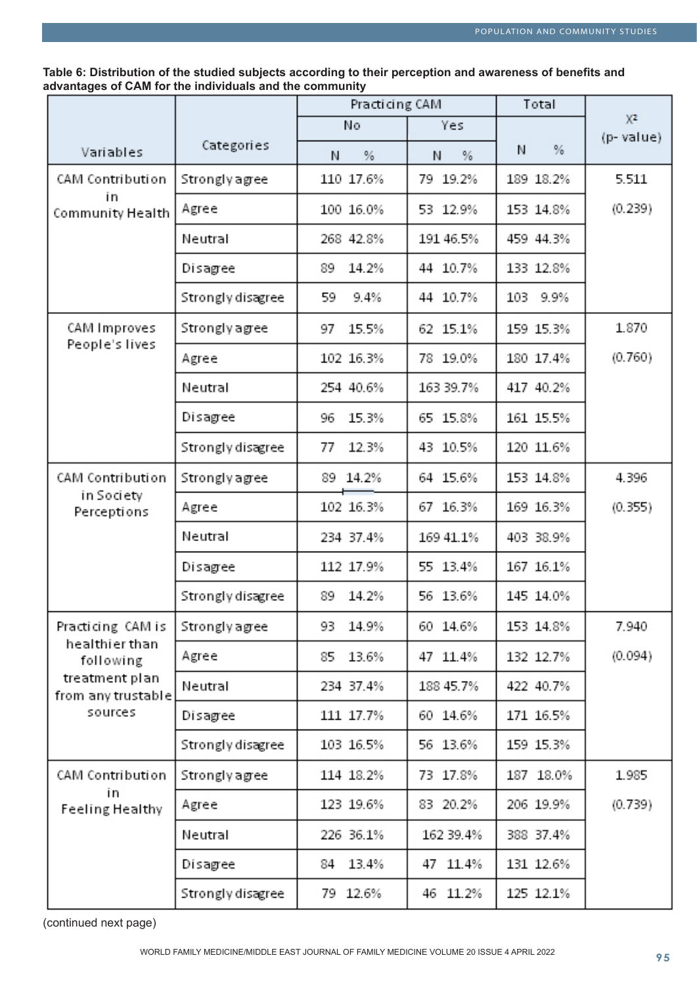**Table 6: Distribution of the studied subjects according to their perception and awareness of benefits and advantages of CAM for the individuals and the community**

|                                      |                       | Practicing CAM |           | Total     |                             |
|--------------------------------------|-----------------------|----------------|-----------|-----------|-----------------------------|
|                                      |                       | No             | Yes       |           | X <sup>2</sup><br>(p-value) |
| Variables                            | Categories            | %<br>Ν         | %<br>Ν    | $\%$<br>Ν |                             |
| CAM Contribution                     | <b>Strongly agree</b> | 110 17.6%      | 79 19.2%  | 189 18.2% | 5.511                       |
| in<br>Community Health               | Agree                 | 100 16.0%      | 53 12.9%  | 153 14.8% | (0.239)                     |
|                                      | Neutral               | 268 42.8%      | 191 46.5% | 459 44.3% |                             |
|                                      | Disagree              | 89<br>14.2%    | 44 10.7%  | 133 12.8% |                             |
|                                      | Strongly disagree     | 59<br>9.4%     | 44 10.7%  | 103 9.9%  |                             |
| CAM Improves                         | <b>Strongly agree</b> | 97<br>15.5%    | 62 15.1%  | 159 15.3% | 1.870                       |
| People's lives                       | Agree                 | 102 16.3%      | 78 19.0%  | 180 17.4% | (0.760)                     |
|                                      | Neutral               | 254 40.6%      | 163 39.7% | 417 40.2% |                             |
|                                      | Disagree              | 15.3%<br>96    | 65 15.8%  | 161 15.5% |                             |
|                                      | Strongly disagree     | 77<br>12.3%    | 43 10.5%  | 120 11.6% |                             |
| CAM Contribution                     | <b>Strongly agree</b> | 89 14.2%       | 64 15.6%  | 153 14.8% | 4.396                       |
| in Society<br>Perceptions            | Agree                 | 102 16.3%      | 67 16.3%  | 169 16.3% | (0.355)                     |
|                                      | Neutral               | 234 37.4%      | 169 41.1% | 403 38.9% |                             |
|                                      | Disagree              | 112 17.9%      | 55 13.4%  | 167 16.1% |                             |
|                                      | Strongly disagree     | 14.2%<br>89    | 56 13.6%  | 145 14.0% |                             |
| Practicing CAM is                    | <b>Strongly agree</b> | 14.9%<br>93    | 60 14.6%  | 153 14.8% | 7.940                       |
| healthier than<br>following          | Agree                 | 13.6%<br>85    | 47 11.4%  | 132 12.7% | (0.094)                     |
| treatment plan<br>from any trustable | Neutral               | 234 37.4%      | 188 45.7% | 422 40.7% |                             |
| sources                              | Disagree              | 111 17.7%      | 60 14.6%  | 171 16.5% |                             |
|                                      | Strongly disagree     | 103 16.5%      | 56 13.6%  | 159 15.3% |                             |
| CAM Contribution                     | <b>Strongly agree</b> | 114 18.2%      | 73 17.8%  | 187 18.0% | 1.985                       |
| in<br>Feeling Healthy                | Agree                 | 123 19.6%      | 83 20.2%  | 206 19.9% | (0.739)                     |
|                                      | Neutral               | 226 36.1%      | 162 39.4% | 388 37.4% |                             |
|                                      | Disagree              | 13.4%<br>84    | 47 11.4%  | 131 12.6% |                             |
|                                      | Strongly disagree     | 79 12.6%       | 46 11.2%  | 125 12.1% |                             |

(continued next page)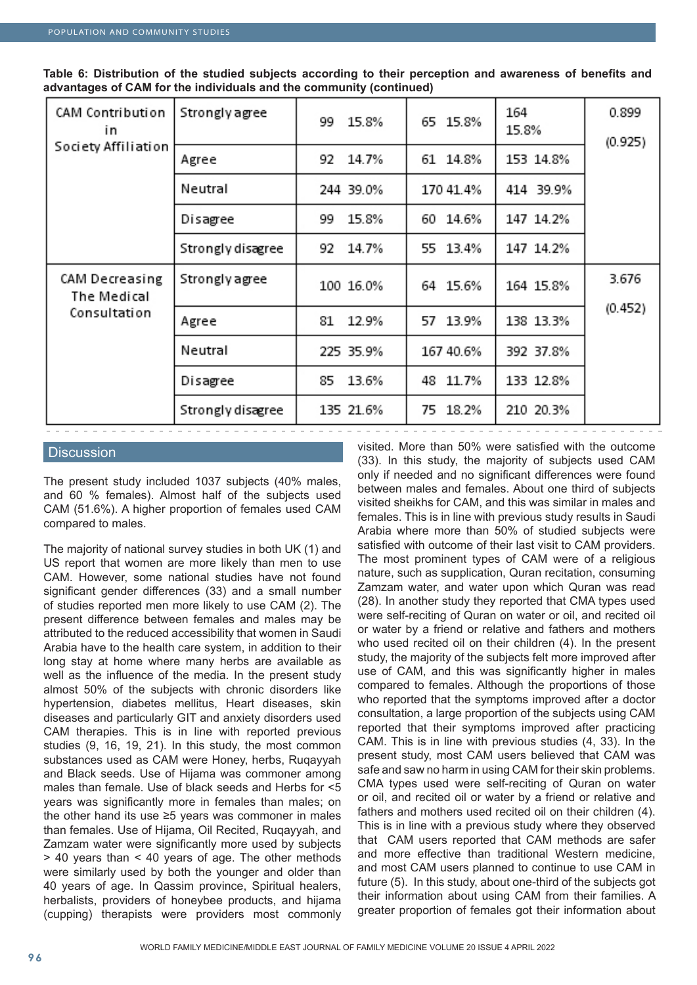| CAM Contribution<br>in<br>Society Affiliation | <b>Strongly agree</b> | 15.8%<br>99 | 65 15.8%  | 164<br>15.8% | 0.899<br>(0.925) |
|-----------------------------------------------|-----------------------|-------------|-----------|--------------|------------------|
|                                               | Agree                 | 92<br>14.7% | 61 14.8%  | 153 14.8%    |                  |
|                                               | Neutral               | 244 39.0%   | 170 41.4% | 414 39.9%    |                  |
|                                               | Disagree              | 15.8%<br>99 | 60 14.6%  | 147 14.2%    |                  |
|                                               | Strongly disagree     | 92<br>14.7% | 55 13.4%  | 147 14.2%    |                  |
| CAM Decreasing<br>The Medical                 | Strongly agree        | 100 16.0%   | 64 15.6%  | 164 15.8%    | 3.676            |
| Consultation                                  | Agree                 | 12.9%<br>81 | 57 13.9%  | 138 13.3%    | (0.452)          |
|                                               | Neutral               | 225 35.9%   | 167 40.6% | 392 37.8%    |                  |
|                                               | Disagree              | 13.6%<br>85 | 48 11.7%  | 133 12.8%    |                  |
|                                               | Strongly disagree     | 135 21.6%   | 75 18.2%  | 210 20.3%    |                  |

**Table 6: Distribution of the studied subjects according to their perception and awareness of benefits and advantages of CAM for the individuals and the community (continued)**

## **Discussion**

The present study included 1037 subjects (40% males, and 60 % females). Almost half of the subjects used CAM (51.6%). A higher proportion of females used CAM compared to males.

The majority of national survey studies in both UK (1) and US report that women are more likely than men to use CAM. However, some national studies have not found significant gender differences (33) and a small number of studies reported men more likely to use CAM (2). The present difference between females and males may be attributed to the reduced accessibility that women in Saudi Arabia have to the health care system, in addition to their long stay at home where many herbs are available as well as the influence of the media. In the present study almost 50% of the subjects with chronic disorders like hypertension, diabetes mellitus, Heart diseases, skin diseases and particularly GIT and anxiety disorders used CAM therapies. This is in line with reported previous studies (9, 16, 19, 21). In this study, the most common substances used as CAM were Honey, herbs, Ruqayyah and Black seeds. Use of Hijama was commoner among males than female. Use of black seeds and Herbs for <5 years was significantly more in females than males; on the other hand its use ≥5 years was commoner in males than females. Use of Hijama, Oil Recited, Ruqayyah, and Zamzam water were significantly more used by subjects > 40 years than < 40 years of age. The other methods were similarly used by both the younger and older than 40 years of age. In Qassim province, Spiritual healers, herbalists, providers of honeybee products, and hijama (cupping) therapists were providers most commonly visited. More than 50% were satisfied with the outcome (33). In this study, the majority of subjects used CAM only if needed and no significant differences were found between males and females. About one third of subjects visited sheikhs for CAM, and this was similar in males and females. This is in line with previous study results in Saudi Arabia where more than 50% of studied subjects were satisfied with outcome of their last visit to CAM providers. The most prominent types of CAM were of a religious nature, such as supplication, Quran recitation, consuming Zamzam water, and water upon which Quran was read (28). In another study they reported that CMA types used were self-reciting of Quran on water or oil, and recited oil or water by a friend or relative and fathers and mothers who used recited oil on their children (4). In the present study, the majority of the subjects felt more improved after use of CAM, and this was significantly higher in males compared to females. Although the proportions of those who reported that the symptoms improved after a doctor consultation, a large proportion of the subjects using CAM reported that their symptoms improved after practicing CAM. This is in line with previous studies (4, 33). In the present study, most CAM users believed that CAM was safe and saw no harm in using CAM for their skin problems. CMA types used were self-reciting of Quran on water or oil, and recited oil or water by a friend or relative and fathers and mothers used recited oil on their children (4). This is in line with a previous study where they observed that CAM users reported that CAM methods are safer and more effective than traditional Western medicine, and most CAM users planned to continue to use CAM in future (5). In this study, about one-third of the subjects got their information about using CAM from their families. A greater proportion of females got their information about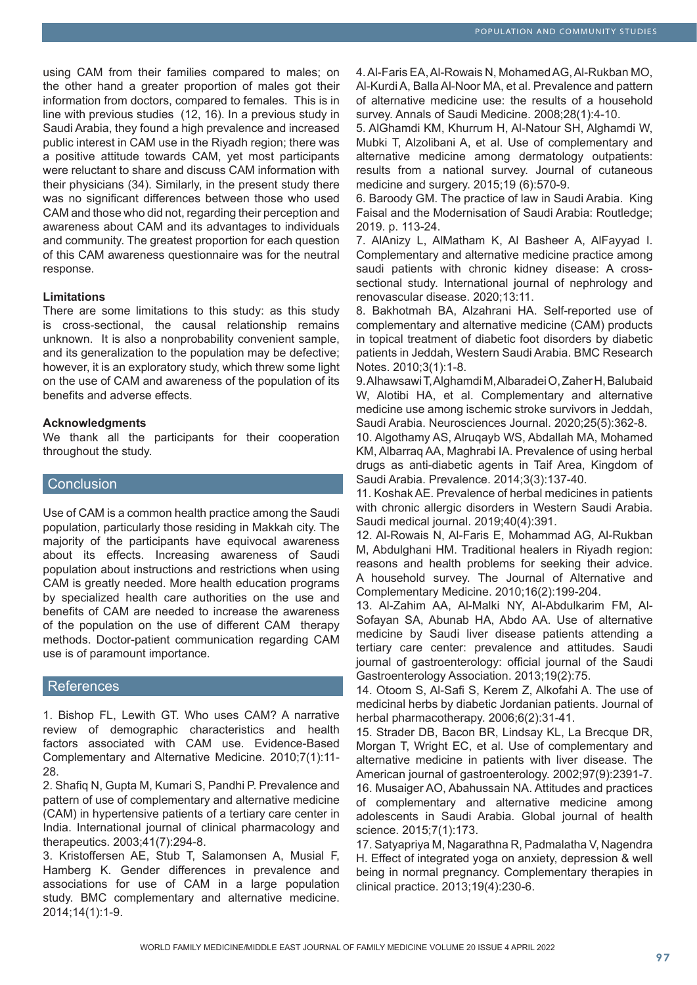using CAM from their families compared to males; on the other hand a greater proportion of males got their information from doctors, compared to females. This is in line with previous studies (12, 16). In a previous study in Saudi Arabia, they found a high prevalence and increased public interest in CAM use in the Riyadh region; there was a positive attitude towards CAM, yet most participants were reluctant to share and discuss CAM information with their physicians (34). Similarly, in the present study there was no significant differences between those who used CAM and those who did not, regarding their perception and awareness about CAM and its advantages to individuals and community. The greatest proportion for each question of this CAM awareness questionnaire was for the neutral response.

## **Limitations**

There are some limitations to this study: as this study is cross-sectional, the causal relationship remains unknown. It is also a nonprobability convenient sample, and its generalization to the population may be defective; however, it is an exploratory study, which threw some light on the use of CAM and awareness of the population of its benefits and adverse effects.

## **Acknowledgments**

We thank all the participants for their cooperation throughout the study.

## **Conclusion**

Use of CAM is a common health practice among the Saudi population, particularly those residing in Makkah city. The majority of the participants have equivocal awareness about its effects. Increasing awareness of Saudi population about instructions and restrictions when using CAM is greatly needed. More health education programs by specialized health care authorities on the use and benefits of CAM are needed to increase the awareness of the population on the use of different CAM therapy methods. Doctor-patient communication regarding CAM use is of paramount importance.

## **References**

1. Bishop FL, Lewith GT. Who uses CAM? A narrative review of demographic characteristics and health factors associated with CAM use. Evidence-Based Complementary and Alternative Medicine. 2010;7(1):11- 28.

2. Shafiq N, Gupta M, Kumari S, Pandhi P. Prevalence and pattern of use of complementary and alternative medicine (CAM) in hypertensive patients of a tertiary care center in India. International journal of clinical pharmacology and therapeutics. 2003;41(7):294-8.

3. Kristoffersen AE, Stub T, Salamonsen A, Musial F, Hamberg K. Gender differences in prevalence and associations for use of CAM in a large population study. BMC complementary and alternative medicine. 2014;14(1):1-9.

4. Al-Faris EA, Al-Rowais N, Mohamed AG, Al-Rukban MO, Al-Kurdi A, Balla Al-Noor MA, et al. Prevalence and pattern of alternative medicine use: the results of a household survey. Annals of Saudi Medicine. 2008;28(1):4-10.

5. AlGhamdi KM, Khurrum H, Al-Natour SH, Alghamdi W, Mubki T, Alzolibani A, et al. Use of complementary and alternative medicine among dermatology outpatients: results from a national survey. Journal of cutaneous medicine and surgery. 2015;19 (6):570-9.

6. Baroody GM. The practice of law in Saudi Arabia. King Faisal and the Modernisation of Saudi Arabia: Routledge; 2019. p. 113-24.

7. AlAnizy L, AlMatham K, Al Basheer A, AlFayyad I. Complementary and alternative medicine practice among saudi patients with chronic kidney disease: A crosssectional study. International journal of nephrology and renovascular disease. 2020;13:11.

8. Bakhotmah BA, Alzahrani HA. Self-reported use of complementary and alternative medicine (CAM) products in topical treatment of diabetic foot disorders by diabetic patients in Jeddah, Western Saudi Arabia. BMC Research Notes. 2010;3(1):1-8.

9. Alhawsawi T, Alghamdi M, Albaradei O, Zaher H, Balubaid W, Alotibi HA, et al. Complementary and alternative medicine use among ischemic stroke survivors in Jeddah, Saudi Arabia. Neurosciences Journal. 2020;25(5):362-8.

10. Algothamy AS, Alruqayb WS, Abdallah MA, Mohamed KM, Albarraq AA, Maghrabi IA. Prevalence of using herbal drugs as anti-diabetic agents in Taif Area, Kingdom of Saudi Arabia. Prevalence. 2014;3(3):137-40.

11. Koshak AE. Prevalence of herbal medicines in patients with chronic allergic disorders in Western Saudi Arabia. Saudi medical journal. 2019;40(4):391.

12. Al-Rowais N, Al-Faris E, Mohammad AG, Al-Rukban M, Abdulghani HM. Traditional healers in Riyadh region: reasons and health problems for seeking their advice. A household survey. The Journal of Alternative and Complementary Medicine. 2010;16(2):199-204.

13. Al-Zahim AA, Al-Malki NY, Al-Abdulkarim FM, Al-Sofayan SA, Abunab HA, Abdo AA. Use of alternative medicine by Saudi liver disease patients attending a tertiary care center: prevalence and attitudes. Saudi journal of gastroenterology: official journal of the Saudi Gastroenterology Association. 2013;19(2):75.

14. Otoom S, Al-Safi S, Kerem Z, Alkofahi A. The use of medicinal herbs by diabetic Jordanian patients. Journal of herbal pharmacotherapy. 2006;6(2):31-41.

15. Strader DB, Bacon BR, Lindsay KL, La Brecque DR, Morgan T, Wright EC, et al. Use of complementary and alternative medicine in patients with liver disease. The American journal of gastroenterology. 2002;97(9):2391-7. 16. Musaiger AO, Abahussain NA. Attitudes and practices of complementary and alternative medicine among adolescents in Saudi Arabia. Global journal of health science. 2015;7(1):173.

17. Satyapriya M, Nagarathna R, Padmalatha V, Nagendra H. Effect of integrated yoga on anxiety, depression & well being in normal pregnancy. Complementary therapies in clinical practice. 2013;19(4):230-6.